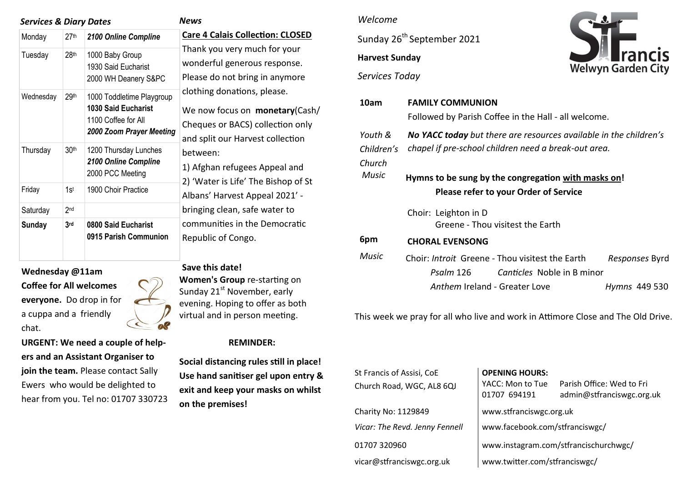#### *Services & Diary Dates*

| <b>News</b> |
|-------------|
|-------------|

| Monday        | 27th             | 2100 Online Compline                                                                                       | Care 4 Ca                                                                                      |
|---------------|------------------|------------------------------------------------------------------------------------------------------------|------------------------------------------------------------------------------------------------|
| Tuesday       | 28 <sup>th</sup> | 1000 Baby Group<br>1930 Said Eucharist<br>2000 WH Deanery S&PC                                             | Thank yo<br>wonderfu<br>Please do<br>clothing o<br>We now <sup>.</sup><br>Cheques<br>and split |
| Wednesday     | 29 <sup>th</sup> | 1000 Toddletime Playgroup<br><b>1030 Said Eucharist</b><br>1100 Coffee for All<br>2000 Zoom Prayer Meeting |                                                                                                |
| Thursday      | 30 <sup>th</sup> | 1200 Thursday Lunches<br>2100 Online Compline<br>2000 PCC Meeting                                          | between<br>1) Afghar<br>2) 'Water                                                              |
| Friday        | 1s <sup>t</sup>  | 1900 Choir Practice                                                                                        | Albans' H                                                                                      |
| Saturday      | 2 <sub>nd</sub>  |                                                                                                            | bringing (                                                                                     |
| <b>Sunday</b> | 3 <sub>rd</sub>  | 0800 Said Eucharist<br>0915 Parish Communion                                                               | commun<br>Republic                                                                             |

**Wednesday @11am Coffee for All welcomes everyone.** Do drop in for a cuppa and a friendly chat.

**URGENT: We need a couple of helpers and an Assistant Organiser to join the team.** Please contact Sally Ewers who would be delighted to hear from you. Tel no: 01707 330723

**Care 4 Calais Collection: CLOSED**  ou very much for your ul generous response. o not bring in anymore donations, please. focus on **monetary**(Cash/ or BACS) collection only our Harvest collection between: n refugees Appeal and

r is Life' The Bishop of St Harvest Appeal 2021' clean, safe water to ities in the Democratic of Congo.

#### **Save this date!**

**Women's Group** re-starting on Sunday 21<sup>st</sup> November, early evening. Hoping to offer as both virtual and in person meeting.

### **REMINDER:**

**Social distancing rules still in place! Use hand sanitiser gel upon entry & exit and keep your masks on whilst on the premises!** 

#### *Welcome*

Sunday 26<sup>th</sup> September 2021

# **Harvest Sunday**



*Services Today*

| 10am                            | <b>FAMILY COMMUNION</b>                                                                                                   |                |  |  |
|---------------------------------|---------------------------------------------------------------------------------------------------------------------------|----------------|--|--|
|                                 | Followed by Parish Coffee in the Hall - all welcome.                                                                      |                |  |  |
| Youth &<br>Children's<br>Church | No YACC today but there are resources available in the children's<br>chapel if pre-school children need a break-out area. |                |  |  |
| Music                           | Hymns to be sung by the congregation with masks on!<br>Please refer to your Order of Service                              |                |  |  |
|                                 | Choir: Leighton in D<br>Greene - Thou visitest the Earth                                                                  |                |  |  |
| 6pm                             | <b>CHORAL EVENSONG</b>                                                                                                    |                |  |  |
| Music                           | Choir: Introit Greene - Thou visitest the Earth<br><i>Canticles</i> Noble in B minor<br>Psalm 126                         | Responses Byrd |  |  |
|                                 | Anthem Ireland - Greater Love                                                                                             | Hymns 449 530  |  |  |

This week we pray for all who live and work in Attimore Close and The Old Drive.

| St Francis of Assisi, CoE<br>Church Road, WGC, AL8 6QJ | <b>OPENING HOURS:</b><br>YACC: Mon to Tue<br>01707 694191 | Parish Office: Wed to Fri<br>admin@stfranciswgc.org.uk |  |
|--------------------------------------------------------|-----------------------------------------------------------|--------------------------------------------------------|--|
| Charity No: 1129849                                    | www.stfranciswgc.org.uk                                   |                                                        |  |
| Vicar: The Revd. Jenny Fennell                         | www.facebook.com/stfranciswgc/                            |                                                        |  |
| 01707 320960                                           | www.instagram.com/stfrancischurchwgc/                     |                                                        |  |
| vicar@stfranciswgc.org.uk                              | www.twitter.com/stfranciswgc/                             |                                                        |  |